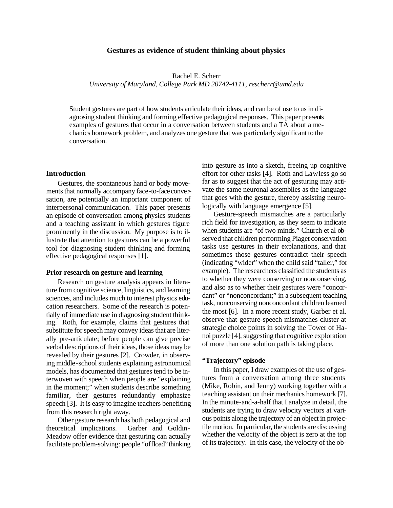#### **Gestures as evidence of student thinking about physics**

Rachel E. Scherr

*University of Maryland, College Park MD 20742-4111, rescherr@umd.edu*

Student gestures are part of how students articulate their ideas, and can be of use to us in diagnosing student thinking and forming effective pedagogical responses. This paper presents examples of gestures that occur in a conversation between students and a TA about a mechanics homework problem, and analyzes one gesture that was particularly significant to the conversation.

### **Introduction**

Gestures, the spontaneous hand or body movements that normally accompany face-to-face conversation, are potentially an important component of interpersonal communication. This paper presents an episode of conversation among physics students and a teaching assistant in which gestures figure prominently in the discussion. My purpose is to illustrate that attention to gestures can be a powerful tool for diagnosing student thinking and forming effective pedagogical responses [1].

#### **Prior research on gesture and learning**

Research on gesture analysis appears in literature from cognitive science, linguistics, and learning sciences, and includes much to interest physics education researchers. Some of the research is potentially of immediate use in diagnosing student thinking. Roth, for example, claims that gestures that substitute for speech may convey ideas that are literally pre-articulate; before people can give precise verbal descriptions of their ideas, those ideas may be revealed by their gestures [2]. Crowder, in observing middle-school students explaining astronomical models, has documented that gestures tend to be interwoven with speech when people are "explaining in the moment;" when students describe something familiar, their gestures redundantly emphasize speech [3]. It is easy to imagine teachers benefiting from this research right away.

Other gesture research has both pedagogical and theoretical implications. Garber and Goldin-Meadow offer evidence that gesturing can actually facilitate problem-solving: people "offload" thinking into gesture as into a sketch, freeing up cognitive effort for other tasks [4]. Roth and Lawless go so far as to suggest that the act of gesturing may activate the same neuronal assemblies as the language that goes with the gesture, thereby assisting neurologically with language emergence [5].

Gesture-speech mismatches are a particularly rich field for investigation, as they seem to indicate when students are "of two minds." Church et al observed that children performing Piaget conservation tasks use gestures in their explanations, and that sometimes those gestures contradict their speech (indicating "wider" when the child said "taller," for example). The researchers classified the students as to whether they were conserving or nonconserving, and also as to whether their gestures were "concordant" or "nonconcordant;" in a subsequent teaching task, nonconserving nonconcordant children learned the most [6]. In a more recent study, Garber et al. observe that gesture-speech mismatches cluster at strategic choice points in solving the Tower of Hanoi puzzle [4], suggesting that cognitive exploration of more than one solution path is taking place.

## **"Trajectory" episode**

In this paper, I draw examples of the use of gestures from a conversation among three students (Mike, Robin, and Jenny) working together with a teaching assistant on their mechanics homework [7]. In the minute-and-a-half that I analyze in detail, the students are trying to draw velocity vectors at various points along the trajectory of an object in projectile motion. In particular, the students are discussing whether the velocity of the object is zero at the top of its trajectory. In this case, the velocity of the ob-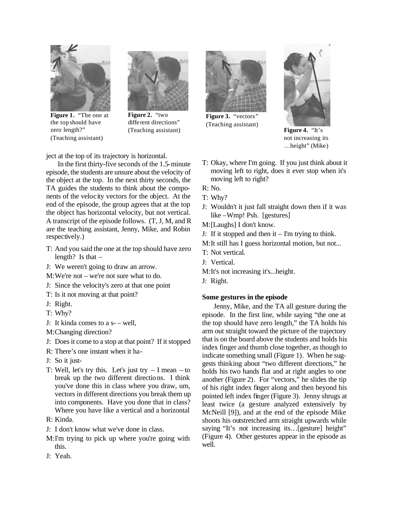

**Figure 1.** "The one at the top should have zero length?" (Teaching assistant)



**Figure 2.** "two different directions" (Teaching assistant)

ject at the top of its trajectory is horizontal.

In the first thirty-five seconds of the 1.5-minute episode, the students are unsure about the velocity of the object at the top. In the next thirty seconds, the TA guides the students to think about the components of the velocity vectors for the object. At the end of the episode, the group agrees that at the top the object has horizontal velocity, but not vertical. A transcript of the episode follows. (T, J, M, and R are the teaching assistant, Jenny, Mike, and Robin respectively.)

- T: And you said the one at the top should have zero length? Is that –
- J: We weren't going to draw an arrow.
- M:We're not we're not sure what to do.
- J: Since the velocity's zero at that one point
- T: Is it not moving at that point?
- J: Right.
- T: Why?
- J: It kinda comes to a s- well,
- M:Changing direction?
- J: Does it come to a stop at that point? If it stopped
- R: There's one instant when it ha-
- J: So it just-
- T: Well, let's try this. Let's just try  $-$  I mean  $-$  to break up the two different directions. I think you've done this in class where you draw, um, vectors in different directions you break them up into components. Have you done that in class? Where you have like a vertical and a horizontal
- R: Kinda.
- J: I don't know what we've done in class.
- M:I'm trying to pick up where you're going with this.



Figure 3. "vectors" (Teaching assistant)



Figure 4. "It's not increasing its …height" (Mike)

- T: Okay, where I'm going. If you just think about it moving left to right, does it ever stop when it's moving left to right?
- R: No.
- T: Why?
- J: Wouldn't it just fall straight down then if it was like –Wmp! Psh. [gestures]
- M:[Laughs] I don't know.
- J: If it stopped and then it I'm trying to think.
- M:It still has I guess horizontal motion, but not...
- T: Not vertical.
- J: Vertical.
- M:It's not increasing it's...height.
- J: Right.

## **Some gestures in the episode**

Jenny, Mike, and the TA all gesture during the episode. In the first line, while saying "the one at the top should have zero length," the TA holds his arm out straight toward the picture of the trajectory that is on the board above the students and holds his index finger and thumb close together, as though to indicate something small (Figure 1). When he suggests thinking about "two different directions," he holds his two hands flat and at right angles to one another (Figure 2). For "vectors," he slides the tip of his right index finger along and then beyond his pointed left index finger (Figure 3). Jenny shrugs at least twice (a gesture analyzed extensively by McNeill [9]), and at the end of the episode Mike shoots his outstretched arm straight upwards while saying "It's not increasing its...[gesture] height" (Figure 4). Other gestures appear in the episode as well.

J: Yeah.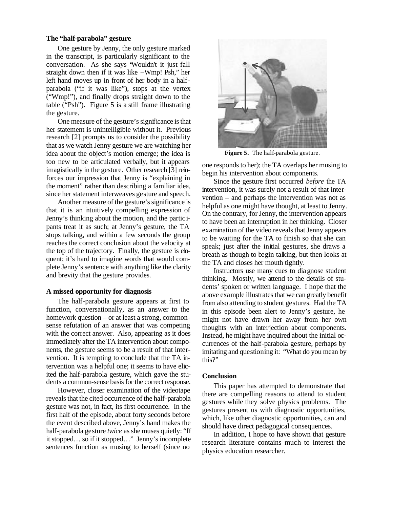## **The "half-parabola" gesture**

One gesture by Jenny, the only gesture marked in the transcript, is particularly significant to the conversation. As she says "Wouldn't it just fall straight down then if it was like –Wmp! Psh," her left hand moves up in front of her body in a halfparabola ("if it was like"), stops at the vertex ("Wmp!"), and finally drops straight down to the table ("Psh"). Figure 5 is a still frame illustrating the gesture.

One measure of the gesture's significance is that her statement is unintelligible without it. Previous research [2] prompts us to consider the possibility that as we watch Jenny gesture we are watching her idea about the object's motion emerge; the idea is too new to be articulated verbally, but it appears imagistically in the gesture. Other research [3] reinforces our impression that Jenny is "explaining in the moment" rather than describing a familiar idea, since her statement interweaves gesture and speech.

Another measure of the gesture's significance is that it is an intuitively compelling expression of Jenny's thinking about the motion, and the partic ipants treat it as such; at Jenny's gesture, the TA stops talking, and within a few seconds the group reaches the correct conclusion about the velocity at the top of the trajectory. Finally, the gesture is eloquent; it's hard to imagine words that would complete Jenny's sentence with anything like the clarity and brevity that the gesture provides.

## **A missed opportunity for diagnosis**

The half-parabola gesture appears at first to function, conversationally, as an answer to the homework question – or at least a strong, commonsense refutation of an answer that was competing with the correct answer. Also, appearing as it does immediately after the TA intervention about components, the gesture seems to be a result of that intervention. It is tempting to conclude that the TA intervention was a helpful one; it seems to have elicited the half-parabola gesture, which gave the students a common-sense basis for the correct response.

However, closer examination of the videotape reveals that the cited occurrence of the half-parabola gesture was not, in fact, its first occurrence. In the first half of the episode, about forty seconds before the event described above, Jenny's hand makes the half-parabola gesture *twice* as she muses quietly: "If it stopped… so if it stopped…" Jenny's incomplete sentences function as musing to herself (since no



**Figure 5.** The half-parabola gesture.

one responds to her); the TA overlaps her musing to begin his intervention about components.

Since the gesture first occurred *before* the TA intervention, it was surely not a result of that intervention – and perhaps the intervention was not as helpful as one might have thought, at least to Jenny. On the contrary, for Jenny, the intervention appears to have been an interruption in her thinking. Closer examination of the video reveals that Jenny appears to be waiting for the TA to finish so that she can speak; just after the initial gestures, she draws a breath as though to begin talking, but then looks at the TA and closes her mouth tightly.

Instructors use many cues to diagnose student thinking. Mostly, we attend to the details of students' spoken or written language. I hope that the above example illustrates that we can greatly benefit from also attending to student gestures. Had the TA in this episode been alert to Jenny's gesture, he might not have drawn her away from her own thoughts with an interjection about components. Instead, he might have inquired about the initial occurrences of the half-parabola gesture, perhaps by imitating and questioning it: "What do you mean by this?"

### **Conclusion**

This paper has attempted to demonstrate that there are compelling reasons to attend to student gestures while they solve physics problems. The gestures present us with diagnostic opportunities, which, like other diagnostic opportunities, can and should have direct pedagogical consequences.

In addition, I hope to have shown that gesture research literature contains much to interest the physics education researcher.